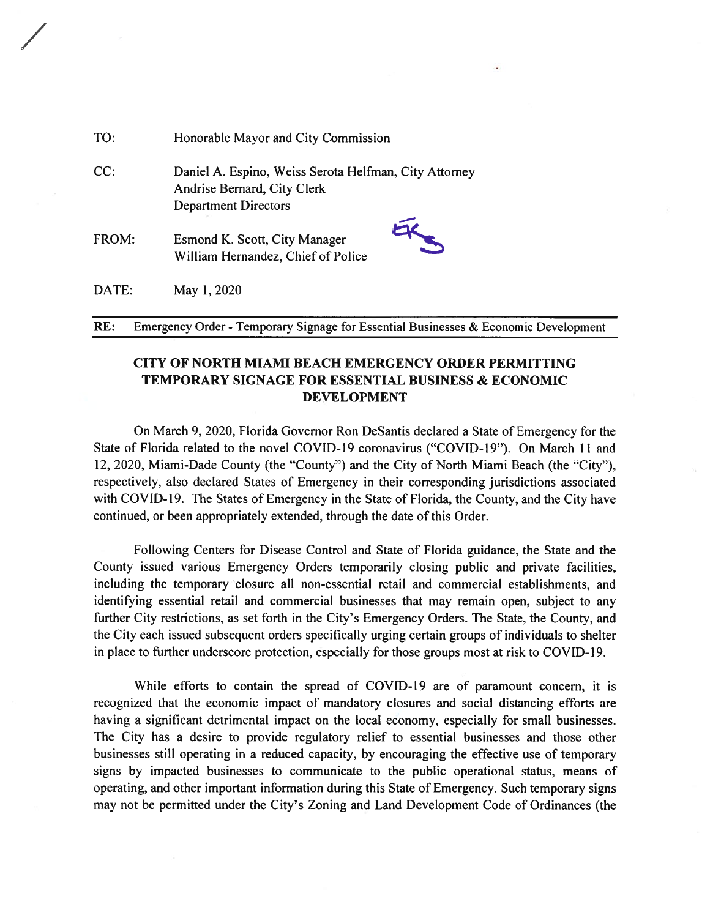| TO:   | Honorable Mayor and City Commission                                                                                 |
|-------|---------------------------------------------------------------------------------------------------------------------|
| CC:   | Daniel A. Espino, Weiss Serota Helfman, City Attorney<br>Andrise Bernard, City Clerk<br><b>Department Directors</b> |
| FROM: | Esmond K. Scott, City Manager<br>William Hernandez, Chief of Police                                                 |
| DATE: | May 1, 2020                                                                                                         |

RE: Emergency Order - Temporary Signage for Essential Businesses & Economic Development

# **CITY OF NORTH MIAMI BEACH EMERGENCY ORDER PERMITTING TEMPORARY SIGNAGE FOR ESSENTIAL BUSINESS & ECONOMIC DEVELOPMENT**

On March 9, 2020, Florida Governor Ron DeSantis declared a State of Emergency for the State of Florida related to the novel COVID-19 coronavirus ("COVID-19"). On March 11 and 12, 2020, Miami-Dade County (the "County") and the City of North Miami Beach (the "City"), respectively, also declared States of Emergency in their corresponding jurisdictions associated with COVID-19. The States of Emergency in the State of Florida, the County, and the City have continued, or been appropriately extended, through the date of this Order.

Following Centers for Disease Control and State of Florida guidance, the State and the County issued various Emergency Orders temporarily closing public and private facilities, including the temporary closure all non-essential retail and commercial establishments, and identifying essential retail and commercial businesses that may remain open, subject to any further City restrictions, as set forth in the City's Emergency Orders. The State, the County, and the City each issued subsequent orders specifically urging certain groups of individuals to shelter in place to further underscore protection, especially for those groups most at risk to COVID-19.

While efforts to contain the spread of COVID-19 are of paramount concern, it is recognized that the economic impact of mandatory closures and social distancing efforts are having a significant detrimental impact on the local economy, especially for small businesses. The City has a desire to provide regulatory relief to essential businesses and those other businesses still operating in a reduced capacity, by encouraging the effective use of temporary signs by impacted businesses to communicate to the public operational status, means of operating, and other important information during this State of Emergency. Such temporary signs may not be permitted under the City's Zoning and Land Development Code of Ordinances (the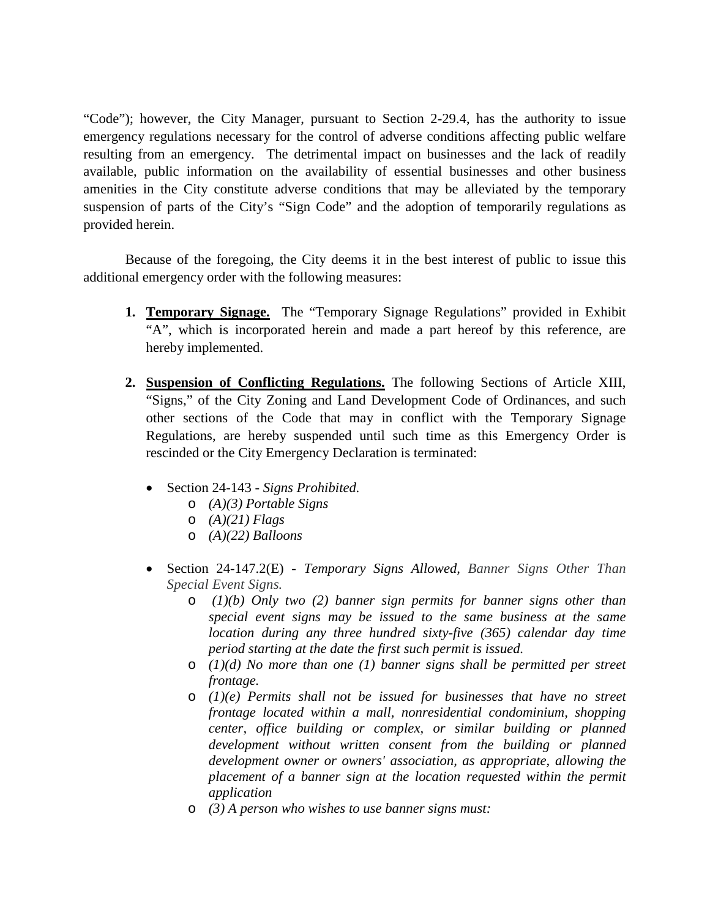"Code"); however, the City Manager, pursuant to Section 2-29.4, has the authority to issue emergency regulations necessary for the control of adverse conditions affecting public welfare resulting from an emergency. The detrimental impact on businesses and the lack of readily available, public information on the availability of essential businesses and other business amenities in the City constitute adverse conditions that may be alleviated by the temporary suspension of parts of the City's "Sign Code" and the adoption of temporarily regulations as provided herein.

Because of the foregoing, the City deems it in the best interest of public to issue this additional emergency order with the following measures:

- **1. Temporary Signage.** The "Temporary Signage Regulations" provided in Exhibit "A", which is incorporated herein and made a part hereof by this reference, are hereby implemented.
- **2. Suspension of Conflicting Regulations.** The following Sections of Article XIII, "Signs," of the City Zoning and Land Development Code of Ordinances, and such other sections of the Code that may in conflict with the Temporary Signage Regulations, are hereby suspended until such time as this Emergency Order is rescinded or the City Emergency Declaration is terminated:
	- Section 24-143 *Signs Prohibited.*
		- o *(A)(3) Portable Signs*
		- o *(A)(21) Flags*
		- o *(A)(22) Balloons*
	- Section 24-147.2(E) *Temporary Signs Allowed, Banner Signs Other Than Special Event Signs.*
		- o *(1)(b) Only two (2) banner sign permits for banner signs other than special event signs may be issued to the same business at the same location during any three hundred sixty-five (365) calendar day time period starting at the date the first such permit is issued.*
		- o *(1)(d) No more than one (1) banner signs shall be permitted per street frontage.*
		- o *(1)(e) Permits shall not be issued for businesses that have no street frontage located within a mall, nonresidential condominium, shopping center, office building or complex, or similar building or planned development without written consent from the building or planned development owner or owners' association, as appropriate, allowing the placement of a banner sign at the location requested within the permit application*
		- o *(3) A person who wishes to use banner signs must:*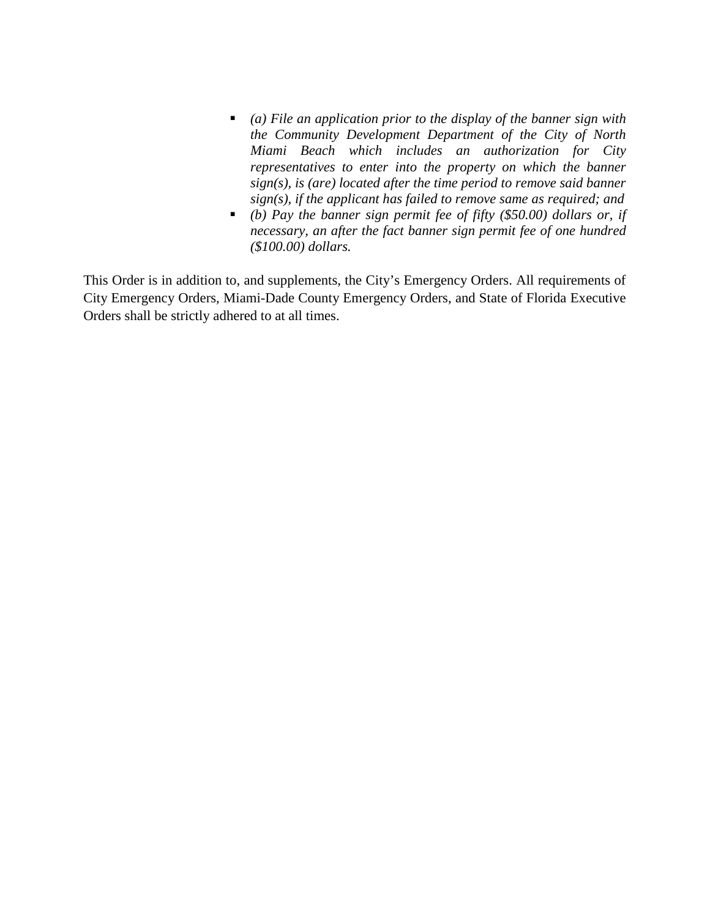- *(a) File an application prior to the display of the banner sign with the Community Development Department of the City of North Miami Beach which includes an authorization for City representatives to enter into the property on which the banner sign(s), is (are) located after the time period to remove said banner sign(s), if the applicant has failed to remove same as required; and*
- *(b) Pay the banner sign permit fee of fifty (\$50.00) dollars or, if necessary, an after the fact banner sign permit fee of one hundred (\$100.00) dollars.*

This Order is in addition to, and supplements, the City's Emergency Orders. All requirements of City Emergency Orders, Miami-Dade County Emergency Orders, and State of Florida Executive Orders shall be strictly adhered to at all times.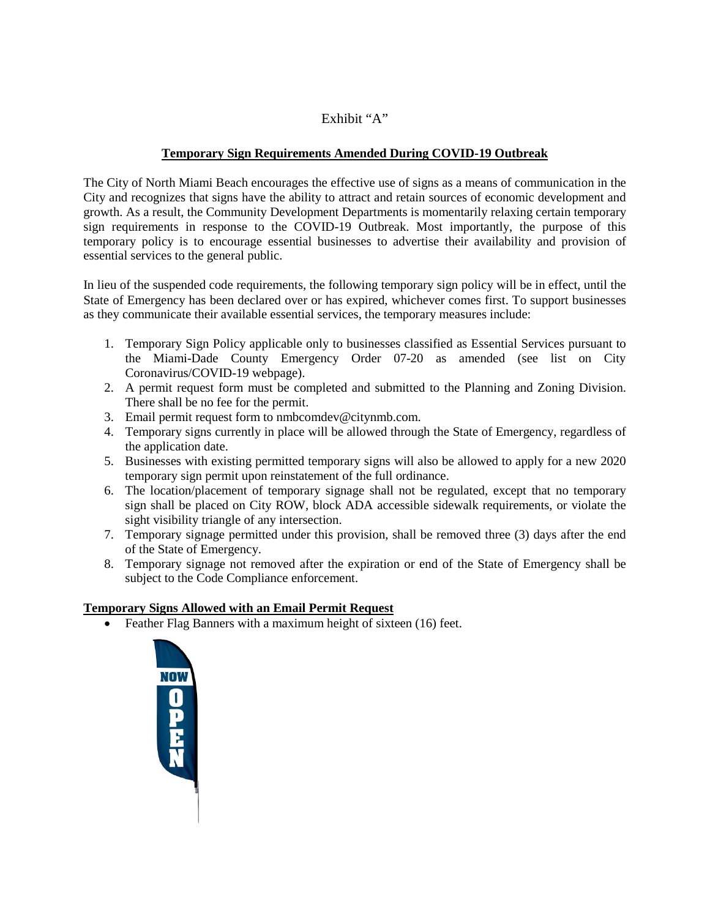# Exhibit "A"

# **Temporary Sign Requirements Amended During COVID-19 Outbreak**

The City of North Miami Beach encourages the effective use of signs as a means of communication in the City and recognizes that signs have the ability to attract and retain sources of economic development and growth. As a result, the Community Development Departments is momentarily relaxing certain temporary sign requirements in response to the COVID-19 Outbreak. Most importantly, the purpose of this temporary policy is to encourage essential businesses to advertise their availability and provision of essential services to the general public.

In lieu of the suspended code requirements, the following temporary sign policy will be in effect, until the State of Emergency has been declared over or has expired, whichever comes first. To support businesses as they communicate their available essential services, the temporary measures include:

- 1. Temporary Sign Policy applicable only to businesses classified as Essential Services pursuant to the Miami-Dade County Emergency Order 07-20 as amended (see list on City Coronavirus/COVID-19 webpage).
- 2. A permit request form must be completed and submitted to the Planning and Zoning Division. There shall be no fee for the permit.
- 3. Email permit request form to nmbcomdev@citynmb.com.
- 4. Temporary signs currently in place will be allowed through the State of Emergency, regardless of the application date.
- 5. Businesses with existing permitted temporary signs will also be allowed to apply for a new 2020 temporary sign permit upon reinstatement of the full ordinance.
- 6. The location/placement of temporary signage shall not be regulated, except that no temporary sign shall be placed on City ROW, block ADA accessible sidewalk requirements, or violate the sight visibility triangle of any intersection.
- 7. Temporary signage permitted under this provision, shall be removed three (3) days after the end of the State of Emergency.
- 8. Temporary signage not removed after the expiration or end of the State of Emergency shall be subject to the Code Compliance enforcement.

# **Temporary Signs Allowed with an Email Permit Request**

• Feather Flag Banners with a maximum height of sixteen (16) feet.

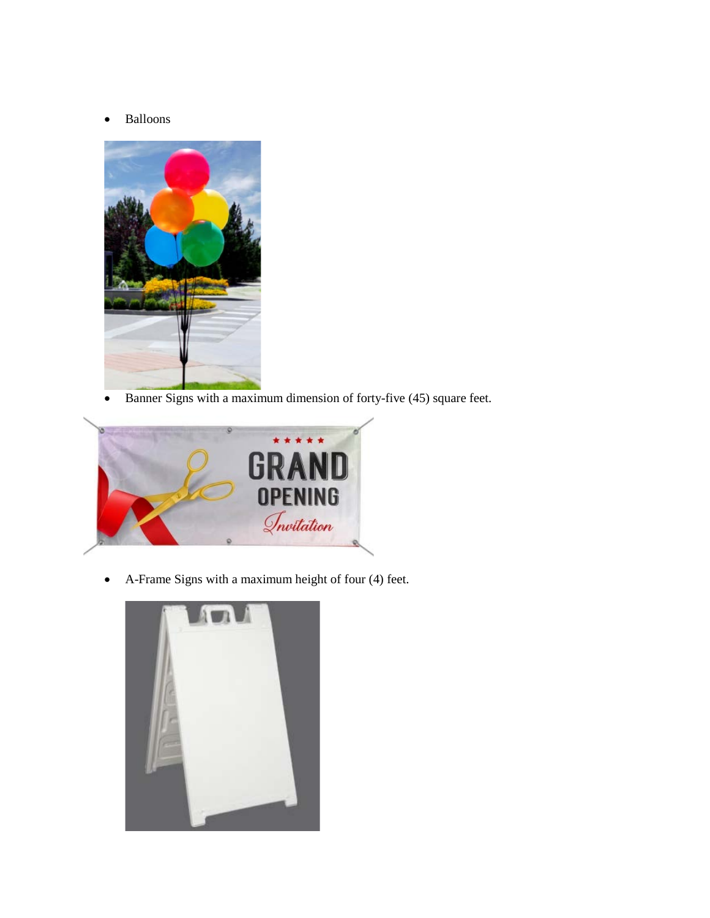• Balloons



• Banner Signs with a maximum dimension of forty-five (45) square feet.



• A-Frame Signs with a maximum height of four (4) feet.

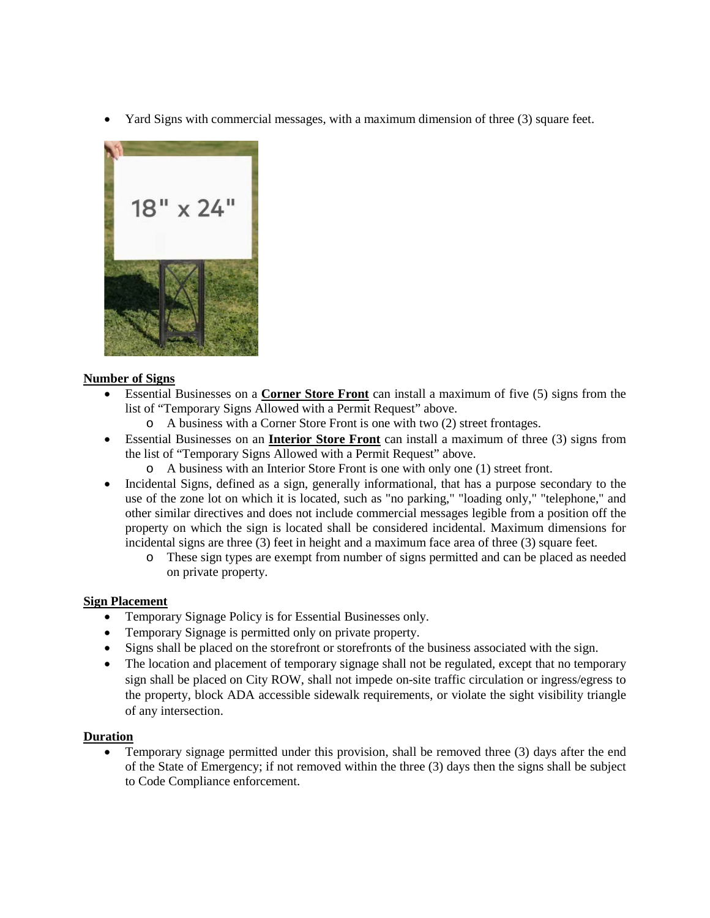• Yard Signs with commercial messages, with a maximum dimension of three (3) square feet.



### **Number of Signs**

- Essential Businesses on a **Corner Store Front** can install a maximum of five (5) signs from the list of "Temporary Signs Allowed with a Permit Request" above.
	- o A business with a Corner Store Front is one with two (2) street frontages.
- Essential Businesses on an **Interior Store Front** can install a maximum of three (3) signs from the list of "Temporary Signs Allowed with a Permit Request" above.
	- o A business with an Interior Store Front is one with only one (1) street front.
- Incidental Signs, defined as a sign, generally informational, that has a purpose secondary to the use of the zone lot on which it is located, such as "no parking," "loading only," "telephone," and other similar directives and does not include commercial messages legible from a position off the property on which the sign is located shall be considered incidental. Maximum dimensions for incidental signs are three (3) feet in height and a maximum face area of three (3) square feet.
	- o These sign types are exempt from number of signs permitted and can be placed as needed on private property.

### **Sign Placement**

- Temporary Signage Policy is for Essential Businesses only.
- Temporary Signage is permitted only on private property.
- Signs shall be placed on the storefront or storefronts of the business associated with the sign.
- The location and placement of temporary signage shall not be regulated, except that no temporary sign shall be placed on City ROW, shall not impede on-site traffic circulation or ingress/egress to the property, block ADA accessible sidewalk requirements, or violate the sight visibility triangle of any intersection.

### **Duration**

• Temporary signage permitted under this provision, shall be removed three (3) days after the end of the State of Emergency; if not removed within the three (3) days then the signs shall be subject to Code Compliance enforcement.